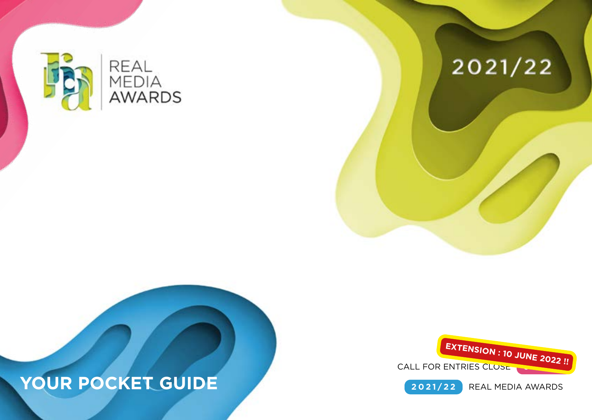

# 2021/22





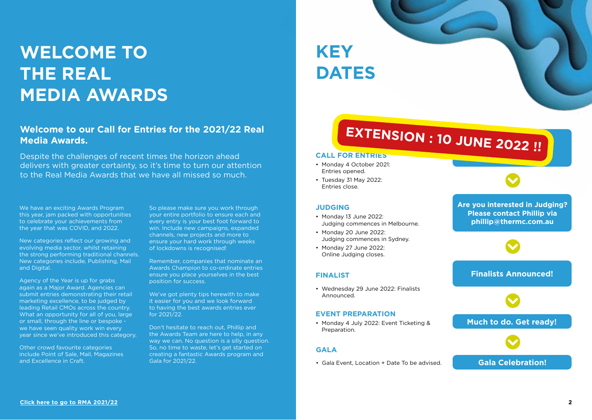# **WELCOME TO THE REAL MEDIA AWARDS**

## **Welcome to our Call for Entries for the 2021/22 Real Media Awards.**

Despite the challenges of recent times the horizon ahead delivers with greater certainty, so it's time to turn our attention to the Real Media Awards that we have all missed so much.

We have an exciting Awards Program this year, jam packed with opportunities to celebrate your achievements from the year that was COVID, and 2022.

New categories reflect our growing and evolving media sector, whilst retaining the strong performing traditional channels. New categories include, Publishing, Mail and Digital.

Agency of the Year is up for grabs again as a Major Award. Agencies can submit entries demonstrating their retail marketing excellence, to be judged by leading Retail CMOs across the country. What an opportunity for all of you, large or small, through the line or bespoke we have seen quality work win every year since we've introduced this category.

Other crowd favourite categories include Point of Sale, Mail, Magazines and Excellence in Craft.

So please make sure you work through your entire portfolio to ensure each and every entry is your best foot forward to win. Include new campaigns, expanded channels, new projects and more to ensure your hard work through weeks of lockdowns is recognised!

Remember, companies that nominate an Awards Champion to co-ordinate entries ensure you place yourselves in the best position for success.

We've got plenty tips herewith to make it easier for you and we look forward to having the best awards entries ever for 2021/22.

Don't hesitate to reach out, Phillip and the Awards Team are here to help, in any way we can. No question is a silly question. So, no time to waste, let's get started on creating a fantastic Awards program and Gala for 2021/22.

**KEY DATES**

## E 2022 **EXTENSION : 10 JUNE 2022 !!**<br>REININGS

#### **CALL FOR ENTRIES**

- Monday 4 October 2021: Entries opened.
- Tuesday 31 May 2022: Entries close.

#### **JUDGING**

- Monday 13 June 2022: Judging commences in Melbourne.
- Monday 20 June 2022: Judging commences in Sydney.
- Monday 27 June 2022: Online Judging closes.

#### **FINALIST**

• Wednesday 29 June 2022: Finalists Announced.

#### **EVENT PREPARATION**

• Monday 4 July 2022: Event Ticketing & Preparation.

#### **GALA**

• Gala Event, Location + Date To be advised.

**Are you interested in Judging? Please contact Phillip via phillip@thermc.com.au** 

**Finalists Announced!**



**Much to do. Get ready!**

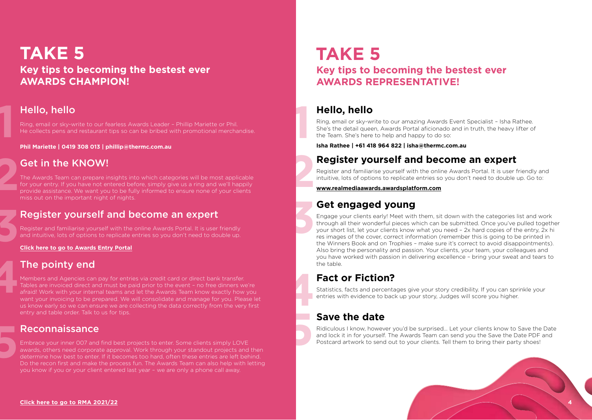## **TAKE 5 Key tips to becoming the bestest ever AWARDS CHAMPION!**

## Hello, hello

**1**

**4**

**5**

Ring, email or sky-write to our fearless Awards Leader – Phillip Mariette or Phil. He collects pens and restaurant tips so can be bribed with promotional merchandise.

**Phil Mariette | 0419 308 013 | phillip@thermc.com.au**

## Get in the KNOW!

**2** The Awards Team can prepare insights into which categories will be most applicable for your entry. If you have not entered before, simply give us a ring and we'll happily provide assistance. We want you to be fully informed to ensure none of your clients miss out on the important night of nights.

## Register yourself and become an expert

Register and familiarise yourself with the online Awards Portal. It is user friendly and intuitive, lots of options to replicate entries so you don't need to double up.

# **3 [Click here to go to Awards Entry Portal](https://realmediaawards.awardsplatform.com/)**

## The pointy end

Members and Agencies can pay for entries via credit card or direct bank transfer. Tables are invoiced direct and must be paid prior to the event – no free dinners we're afraid! Work with your internal teams and let the Awards Team know exactly how you want your invoicing to be prepared. We will consolidate and manage for you. Please let us know early so we can ensure we are collecting the data correctly from the very first entry and table order. Talk to us for tips.

## Reconnaissance

Embrace your inner 007 and find best projects to enter. Some clients simply LOVE awards, others need corporate approval. Work through your standout projects and then determine how best to enter. If it becomes too hard, often these entries are left behind. Do the recon first and make the process fun. The Awards Team can also help with letting you know if you or your client entered last year – we are only a phone call away.

## **TAKE 5 Key tips to becoming the bestest ever AWARDS REPRESENTATIVE!**

## **Hello, hello**

**1**

**2**

**3**

**5**

Ring, email or sky-write to our amazing Awards Event Specialist – Isha Rathee. She's the detail queen, Awards Portal aficionado and in truth, the heavy lifter of the Team. She's here to help and happy to do so:

**Isha Rathee | +61 418 964 822 | isha@thermc.com.au**

## **Register yourself and become an expert**

Register and familiarise yourself with the online Awards Portal. It is user friendly and intuitive, lots of options to replicate entries so you don't need to double up. Go to:

**www.realmediaawards.awardsplatform.com**

## **Get engaged young**

Engage your clients early! Meet with them, sit down with the categories list and work through all their wonderful pieces which can be submitted. Once you've pulled together your short list, let your clients know what you need – 2x hard copies of the entry, 2x hi res images of the cover, correct information (remember this is going to be printed in the Winners Book and on Trophies – make sure it's correct to avoid disappointments). Also bring the personality and passion. Your clients, your team, your colleagues and you have worked with passion in delivering excellence – bring your sweat and tears to the table.

## **Fact or Fiction?**

Statistics, facts and percentages give your story credibility. If you can sprinkle your entries with evidence to back up your story, Judges will score you higher.

# **Save the date 4**

Ridiculous I know, however you'd be surprised… Let your clients know to Save the Date and lock it in for yourself. The Awards Team can send you the Save the Date PDF and Postcard artwork to send out to your clients. Tell them to bring their party shoes!

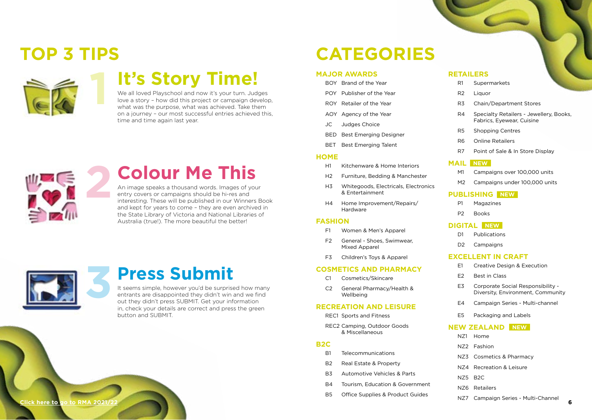# **TOP 3 TIPS**



# **It's Story Time!**

We all loved Playschool and now it's your turn. Judges love a story – how did this project or campaign develop, what was the purpose, what was achieved. Take them on a journey – our most successful entries achieved this, time and time again last year.



## **Colour Me This**

An image speaks a thousand words. Images of your entry covers or campaigns should be hi-res and interesting. These will be published in our Winners Book and kept for years to come – they are even archived in the State Library of Victoria and National Libraries of Australia (true!). The more beautiful the better!



## **Press Submit**

It seems simple, however you'd be surprised how many entrants are disappointed they didn't win and we find out they didn't press SUBMIT. Get your information in, check your details are correct and press the green button and SUBMIT.

# **CATEGORIES**

#### **MAJOR AWARDS**

- BOY Brand of the Year
- POY Publisher of the Year
- ROY Retailer of the Year
- AOY Agency of the Year
- JC Judges Choice
- BED Best Emerging Designer
- BET Best Emerging Talent

#### **HOME**

- H1 Kitchenware & Home Interiors
- H2 Furniture, Bedding & Manchester
- H3 Whitegoods, Electricals, Electronics & Entertainment
- H4 Home Improvement/Repairs/ Hardware

#### **FASHION**

- F1 Women & Men's Apparel
- F2 General Shoes, Swimwear, Mixed Apparel
- F3 Children's Toys & Apparel

#### **COSMETICS AND PHARMACY**

- C1 Cosmetics/Skincare
- C2 General Pharmacy/Health & Wellbeing

#### **RECREATION AND LEISURE**

REC1 Sports and Fitness

REC2 Camping, Outdoor Goods & Miscellaneous

#### **B2C**

- B1 Telecommunications
- B2 Real Estate & Property
- B3 Automotive Vehicles & Parts
- B4 Tourism, Education & Government
- B5 Office Supplies & Product Guides

#### **RETAILERS**

- R1 Supermarkets
- R2 Liquor
- R3 Chain/Department Stores
- R4 Specialty Retailers Jewellery, Books, Fabrics, Eyewear, Cuisine
- R5 Shopping Centres
- R6 Online Retailers
- R7 Point of Sale & In Store Display

#### **MAIL NEW**

- M1 Campaigns over 100,000 units
- M2 Campaigns under 100,000 units

### **PUBLISHING NEW**

- P1 Magazines
- P2 Books

### **DIGITAL NEW**

- D1 Publications
- D<sub>2</sub> Campaigns

#### **EXCELLENT IN CRAFT**

- E1 Creative Design & Execution
- E2 Best in Class
- E3 Corporate Social Responsibility Diversity, Environment, Community
- E4 Campaign Series Multi-channel
- E5 Packaging and Labels

#### **NEW ZEALAND NEW**

- NZ1 Home
- NZ2 Fashion
- NZ3 Cosmetics & Pharmacy
- NZ4 Recreation & Leisure
- NZ5 B2C
- NZ6 Retailers
- NZ7 Campaign Series Multi-Channel

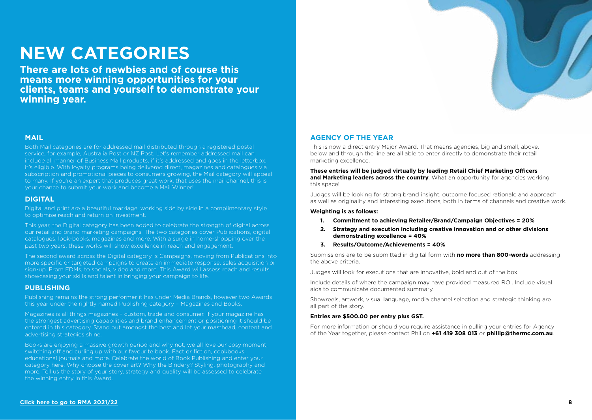# **NEW CATEGORIES**

**There are lots of newbies and of course this means more winning opportunities for your clients, teams and yourself to demonstrate your winning year.**

## **MAIL**

Both Mail categories are for addressed mail distributed through a registered postal service, for example, Australia Post or NZ Post. Let's remember addressed mail can include all manner of Business Mail products, if it's addressed and goes in the letterbox, it's eligible. With loyalty programs being delivered direct, magazines and catalogues via subscription and promotional pieces to consumers growing, the Mail category will appeal to many. If you're an expert that produces great work, that uses the mail channel, this is your chance to submit your work and become a Mail Winner!

### **DIGITAL**

Digital and print are a beautiful marriage, working side by side in a complimentary style to optimise reach and return on investment.

This year, the Digital category has been added to celebrate the strength of digital across our retail and brand marketing campaigns. The two categories cover Publications, digital catalogues, look-books, magazines and more. With a surge in home-shopping over the past two years, these works will show excellence in reach and engagement.

The second award across the Digital category is Campaigns, moving from Publications into more specific or targeted campaigns to create an immediate response, sales acquisition or sign-up. From EDMs, to socials, video and more. This Award will assess reach and results showcasing your skills and talent in bringing your campaign to life.

### **PUBLISHING**

Publishing remains the strong performer it has under Media Brands, however two Awards this year under the rightly named Publishing category – Magazines and Books.

Magazines is all things magazines – custom, trade and consumer. If your magazine has the strongest advertising capabilities and brand enhancement or positioning it should be entered in this category. Stand out amongst the best and let your masthead, content and advertising strategies shine.

Books are enjoying a massive growth period and why not, we all love our cosy moment, switching off and curling up with our favourite book. Fact or fiction, cookbooks, educational journals and more. Celebrate the world of Book Publishing and enter your category here. Why choose the cover art? Why the Bindery? Styling, photography and more. Tell us the story of your story, strategy and quality will be assessed to celebrate the winning entry in this Award.



### **AGENCY OF THE YEAR**

This is now a direct entry Major Award. That means agencies, big and small, above, below and through the line are all able to enter directly to demonstrate their retail marketing excellence.

**These entries will be judged virtually by leading Retail Chief Marketing Officers and Marketing leaders across the country**. What an opportunity for agencies working this space!

Judges will be looking for strong brand insight, outcome focused rationale and approach as well as originality and interesting executions, both in terms of channels and creative work.

#### **Weighting is as follows:**

- **1. Commitment to achieving Retailer/Brand/Campaign Objectives = 20%**
- **2. Strategy and execution including creative innovation and or other divisions demonstrating excellence = 40%**
- **3. Results/Outcome/Achievements = 40%**

Submissions are to be submitted in digital form with **no more than 800-words** addressing the above criteria.

Judges will look for executions that are innovative, bold and out of the box.

Include details of where the campaign may have provided measured ROI. Include visual aids to communicate documented summary.

Showreels, artwork, visual language, media channel selection and strategic thinking are all part of the story.

#### **Entries are \$500.00 per entry plus GST.**

For more information or should you require assistance in pulling your entries for Agency of the Year together, please contact Phil on **+61 419 308 013** or **phillip@thermc.com.au**.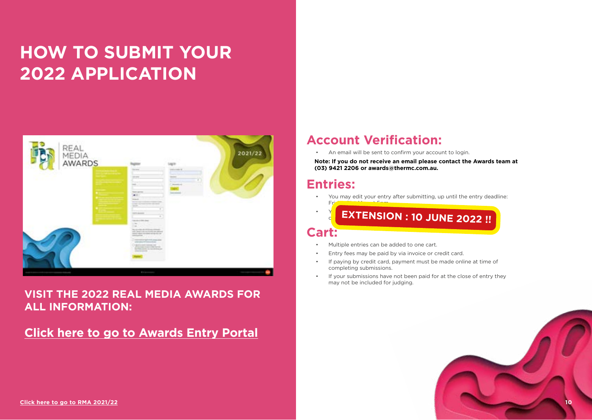# **HOW TO SUBMIT YOUR 2022 APPLICATION**



## **VISIT THE 2022 REAL MEDIA AWARDS FOR ALL INFORMATION:**

## **[Click here to go to Awards Entry Portal](https://realmediaawards.awardsplatform.com/)**

## **Account Verification:**

• An email will be sent to confirm your account to login.

**Note: If you do not receive an email please contact the Awards team at (03) 9421 2206 or awards@thermc.com.au.**

## **Entries:**

• You may edit your entry after submitting, up until the entry deadline:

 $\mathbf{y} = \mathbf{y}$  fusting a copy of  $\mathbf{y} = \mathbf{y}$ change the category. **EXTENSION : 10 JUNE 2022 !!Cart:**

• Multiple entries can be added to one cart.

Friday 31st May 21st May 21st May 21st May 21st May 21st May 21st May 21st May 21st May 21st May 21st May 21st

- Entry fees may be paid by via invoice or credit card.
- If paying by credit card, payment must be made online at time of completing submissions.
- If your submissions have not been paid for at the close of entry they may not be included for judging.

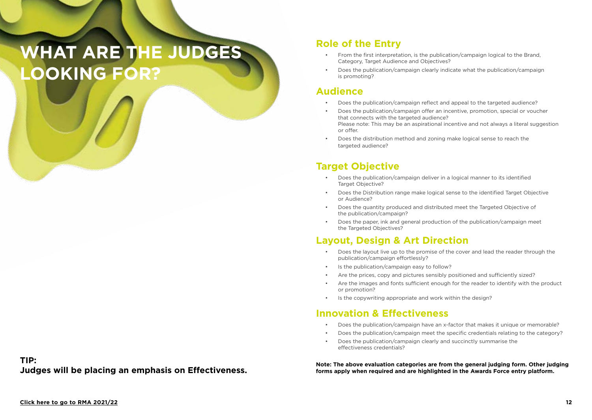# **WHAT ARE THE JUDGES LOOKING FOR?**

### **TIP: Judges will be placing an emphasis on Effectiveness.**

## **Role of the Entry**

- From the first interpretation, is the publication/campaign logical to the Brand, Category, Target Audience and Objectives?
- Does the publication/campaign clearly indicate what the publication/campaign is promoting?

## **Audience**

- Does the publication/campaign reflect and appeal to the targeted audience?
- Does the publication/campaign offer an incentive, promotion, special or voucher that connects with the targeted audience? Please note: This may be an aspirational incentive and not always a literal suggestion or offer.
- Does the distribution method and zoning make logical sense to reach the targeted audience?

## **Target Objective**

- Does the publication/campaign deliver in a logical manner to its identified Target Objective?
- Does the Distribution range make logical sense to the identified Target Objective or Audience?
- Does the quantity produced and distributed meet the Targeted Objective of the publication/campaign?
- Does the paper, ink and general production of the publication/campaign meet the Targeted Objectives?

## **Layout, Design & Art Direction**

- Does the layout live up to the promise of the cover and lead the reader through the publication/campaign effortlessly?
- Is the publication/campaign easy to follow?
- Are the prices, copy and pictures sensibly positioned and sufficiently sized?
- Are the images and fonts sufficient enough for the reader to identify with the product or promotion?
- Is the copywriting appropriate and work within the design?

## **Innovation & Effectiveness**

- Does the publication/campaign have an x-factor that makes it unique or memorable?
- Does the publication/campaign meet the specific credentials relating to the category?
- Does the publication/campaign clearly and succinctly summarise the effectiveness credentials?

**Note: The above evaluation categories are from the general judging form. Other judging forms apply when required and are highlighted in the Awards Force entry platform.**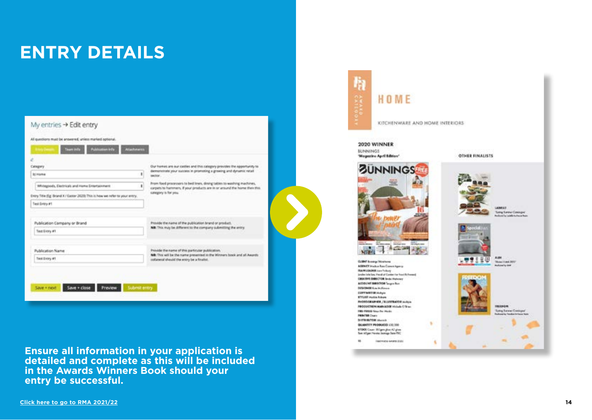# **ENTRY DETAILS**

| Cabagary                                                                     |   | Our hames are our castles and this sategory prevides the apportunity to                                                                             |  |  |
|------------------------------------------------------------------------------|---|-----------------------------------------------------------------------------------------------------------------------------------------------------|--|--|
| <b>Bit Frigative</b>                                                         | ٠ | demonstrate your success in promoting a growing and dynamic retail<br>tector.                                                                       |  |  |
| Whitagoods, Electricals and Huma Entertainment                               | ٤ | From food processors to bed lines, direng tables to washing machines,<br>carpets to harnwers. If your products are in or around the home then this. |  |  |
| Entry Title (Eg: Brand X / Easter 2020). This is how we refer to your entry. |   | samegery is for you.                                                                                                                                |  |  |
| Test Entry #1                                                                |   |                                                                                                                                                     |  |  |
|                                                                              |   |                                                                                                                                                     |  |  |
| Publication Company or Brand                                                 |   | Provide the name of the publication brand or product.                                                                                               |  |  |
| Test Extry #1                                                                |   | NB: This may be different to the company submitting the entry.                                                                                      |  |  |
| <b>Publication Name</b>                                                      |   | Provide the name of this particular publication.                                                                                                    |  |  |
|                                                                              |   | Nil: This will be the name presented in the Winners book and all Awards<br>collateral should the entry be a finalist.                               |  |  |

**Ensure all information in your application is detailed and complete as this will be included in the Awards Winners Book should your entry be successful.**

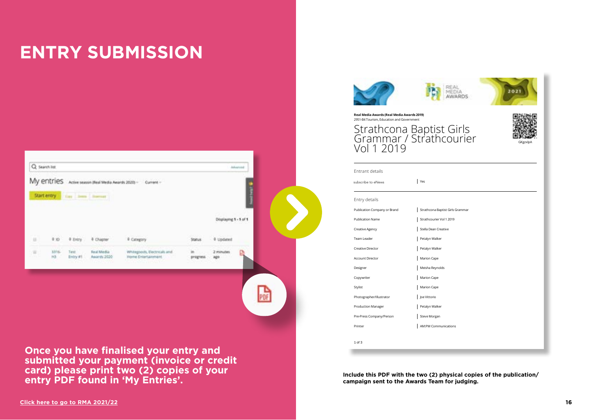# **ENTRY SUBMISSION**

|                                   | Q Search list |                   |                           |                                                    |                 |                       | Advanced |
|-----------------------------------|---------------|-------------------|---------------------------|----------------------------------------------------|-----------------|-----------------------|----------|
|                                   | My entries    |                   |                           | Active season (Real Media Awards 2020) - Current - |                 |                       |          |
|                                   | Start entry   | far her heart     |                           |                                                    |                 |                       |          |
|                                   |               |                   |                           |                                                    |                 |                       |          |
|                                   |               |                   |                           |                                                    |                 | Displaying 1 - 1 of 1 |          |
| <b>COL</b><br>$\mathbb{H}$<br>سيد | $\frac{1}{2}$ | 4 Entry           | # Chapter                 | # Category                                         | Status          | . 0 Updated           |          |
| a.                                | 3316<br>H3    | Test:<br>Entry #1 | Real Media<br>Awards 2020 | Whitegoods, Electricals and<br>Home Dobritanment   | in<br>progress. | 2 minutes<br>ago      |          |
|                                   |               | navan             |                           |                                                    |                 |                       |          |
|                                   |               |                   |                           |                                                    |                 |                       |          |
|                                   |               |                   |                           |                                                    |                 |                       |          |
|                                   |               |                   |                           |                                                    |                 |                       |          |

**Once you have finalised your entry and submitted your payment (invoice or credit card) please print two (2) copies of your entry PDF found in 'My Entries'.**





### **Real Media Awards (Real Media Awards 2019)** 2951-B4 Tourism, Education and Government Strathcona Baptist Girls Grammar / Strathcourier Statistics Strattcoatter General General Contract General General General General General General General Gene<br>Vol 1 2019

| GKgzxlpA |
|----------|

| Entrant details              |                                  |  |  |  |
|------------------------------|----------------------------------|--|--|--|
| subscribe to eNews           | Yes                              |  |  |  |
| Entry details                |                                  |  |  |  |
|                              |                                  |  |  |  |
| Publication Company or Brand | Strathcona Baptist Girls Grammar |  |  |  |
| <b>Publication Name</b>      | Strathcourier Vol 1 2019         |  |  |  |
| Creative Agency              | Stella Dean Creative             |  |  |  |
| Team Leader                  | Petalyn Walker                   |  |  |  |
| Creative Director            | Petalyn Walker                   |  |  |  |
| Account Director             | Marion Cape                      |  |  |  |
| Designer                     | Meisha Reynolds                  |  |  |  |
| Copywriter                   | Marion Cape                      |  |  |  |
| Stylist                      | Marion Cape                      |  |  |  |
| Photographer/Illustrator     | Joe Vittorio                     |  |  |  |
| Production Manager           | Petalyn Walker                   |  |  |  |
| Pre-Press Company/Person     | Steve Morgan                     |  |  |  |
| Printer                      | <b>AM:PM Communications</b>      |  |  |  |
|                              |                                  |  |  |  |
| 1 of 3                       |                                  |  |  |  |

**Include this PDF with the two (2) physical copies of the publication/ campaign sent to the Awards Team for judging.**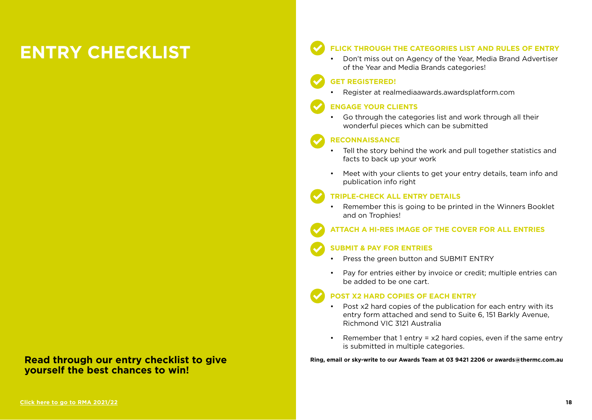# **ENTRY CHECKLIST**

## **Read through our entry checklist to give yourself the best chances to win!**

### **FLICK THROUGH THE CATEGORIES LIST AND RULES OF ENTRY**

• Don't miss out on Agency of the Year, Media Brand Advertiser of the Year and Media Brands categories!

### **GET REGISTERED!**

• Register at realmediaawards.awardsplatform.com

### **ENGAGE YOUR CLIENTS**

• Go through the categories list and work through all their wonderful pieces which can be submitted

### **RECONNAISSANCE**

- Tell the story behind the work and pull together statistics and facts to back up your work
- Meet with your clients to get your entry details, team info and publication info right

### **TRIPLE-CHECK ALL ENTRY DETAILS**

• Remember this is going to be printed in the Winners Booklet and on Trophies!

## **ATTACH A HI-RES IMAGE OF THE COVER FOR ALL ENTRIES**

### **SUBMIT & PAY FOR ENTRIES**

- Press the green button and SUBMIT ENTRY
- Pay for entries either by invoice or credit; multiple entries can be added to be one cart.

## **POST X2 HARD COPIES OF EACH ENTRY**

- Post x2 hard copies of the publication for each entry with its entry form attached and send to Suite 6, 151 Barkly Avenue, Richmond VIC 3121 Australia
- Remember that 1 entry  $= x2$  hard copies, even if the same entry is submitted in multiple categories.

**Ring, email or sky-write to our Awards Team at 03 9421 2206 or awards@thermc.com.au**